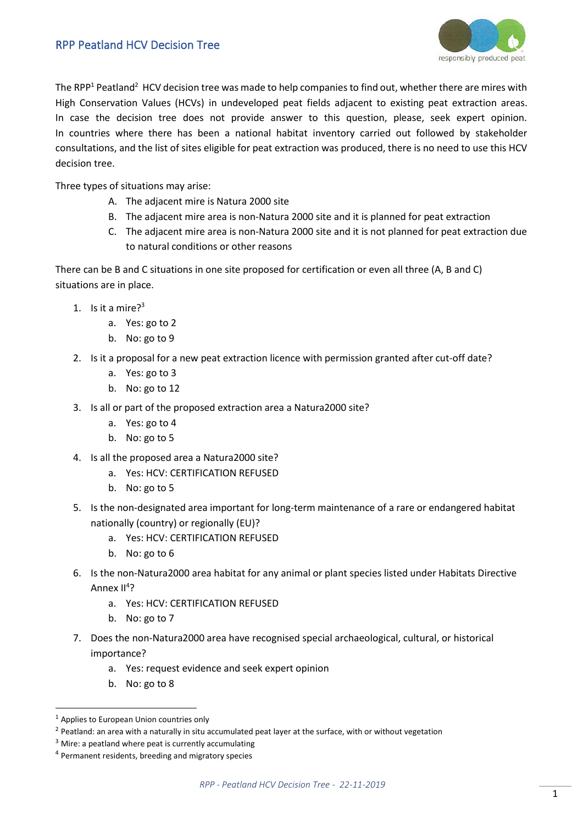## RPP Peatland HCV Decision Tree



The RPP<sup>1</sup> Peatland<sup>2</sup> HCV decision tree was made to help companies to find out, whether there are mires with High Conservation Values (HCVs) in undeveloped peat fields adjacent to existing peat extraction areas. In case the decision tree does not provide answer to this question, please, seek expert opinion. In countries where there has been a national habitat inventory carried out followed by stakeholder consultations, and the list of sites eligible for peat extraction was produced, there is no need to use this HCV decision tree.

Three types of situations may arise:

- A. The adjacent mire is Natura 2000 site
- B. The adjacent mire area is non-Natura 2000 site and it is planned for peat extraction
- C. The adjacent mire area is non-Natura 2000 site and it is not planned for peat extraction due to natural conditions or other reasons

There can be B and C situations in one site proposed for certification or even all three (A, B and C) situations are in place.

- 1. Is it a mire? $3^3$ 
	- a. Yes: go to 2
	- b. No: go to 9
- 2. Is it a proposal for a new peat extraction licence with permission granted after cut-off date?
	- a. Yes: go to 3
	- b. No: go to 12
- 3. Is all or part of the proposed extraction area a Natura2000 site?
	- a. Yes: go to 4
	- b. No: go to 5
- 4. Is all the proposed area a Natura2000 site?
	- a. Yes: HCV: CERTIFICATION REFUSED
	- b. No: go to 5
- 5. Is the non-designated area important for long-term maintenance of a rare or endangered habitat nationally (country) or regionally (EU)?
	- a. Yes: HCV: CERTIFICATION REFUSED
	- b. No: go to 6
- 6. Is the non-Natura2000 area habitat for any animal or plant species listed under Habitats Directive Annex II<sup>4</sup>?
	- a. Yes: HCV: CERTIFICATION REFUSED
	- b. No: go to 7
- 7. Does the non-Natura2000 area have recognised special archaeological, cultural, or historical importance?
	- a. Yes: request evidence and seek expert opinion
	- b. No: go to 8

<sup>&</sup>lt;sup>1</sup> Applies to European Union countries only

 $<sup>2</sup>$  Peatland: an area with a naturally in situ accumulated peat layer at the surface, with or without vegetation</sup>

 $3$  Mire: a peatland where peat is currently accumulating

<sup>4</sup> Permanent residents, breeding and migratory species